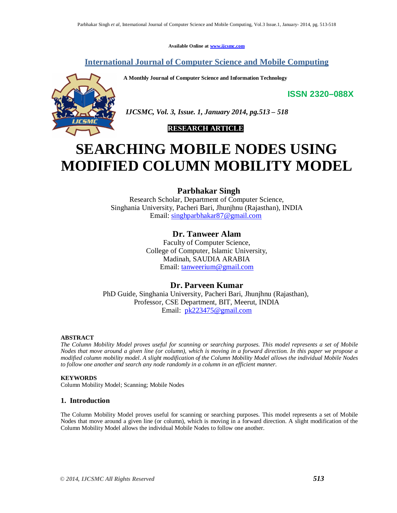**Available Online at www.ijcsmc.com**

# **International Journal of Computer Science and Mobile Computing**

**A Monthly Journal of Computer Science and Information Technology**

**ISSN 2320–088X**



 *IJCSMC, Vol. 3, Issue. 1, January 2014, pg.513 – 518*

 **RESEARCH ARTICLE**

# **SEARCHING MOBILE NODES USING MODIFIED COLUMN MOBILITY MODEL**

**Parbhakar Singh**

Research Scholar, Department of Computer Science, Singhania University, Pacheri Bari, Jhunjhnu (Rajasthan), INDIA Email: singhparbhakar87@gmail.com

# **Dr. Tanweer Alam**

Faculty of Computer Science, College of Computer, Islamic University, Madinah, SAUDIA ARABIA Email: tanweerium@gmail.com

# **Dr. Parveen Kumar**

PhD Guide, Singhania University, Pacheri Bari, Jhunjhnu (Rajasthan), Professor, CSE Department, BIT, Meerut, INDIA Email: pk223475@gmail.com

# **ABSTRACT**

*The Column Mobility Model proves useful for scanning or searching purposes. This model represents a set of Mobile Nodes that move around a given line (or column), which is moving in a forward direction. In this paper we propose a modified column mobility model. A slight modification of the Column Mobility Model allows the individual Mobile Nodes to follow one another and search any node randomly in a column in an efficient manner.*

# **KEYWORDS**

Column Mobility Model; Scanning; Mobile Nodes

# **1. Introduction**

The Column Mobility Model proves useful for scanning or searching purposes. This model represents a set of Mobile Nodes that move around a given line (or column), which is moving in a forward direction. A slight modification of the Column Mobility Model allows the individual Mobile Nodes to follow one another.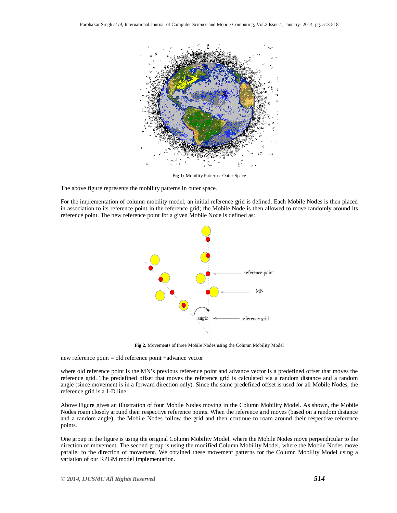

**Fig 1:** Mobility Patterns: Outer Space

The above figure represents the mobility patterns in outer space.

For the implementation of column mobility model, an initial reference grid is defined. Each Mobile Nodes is then placed in association to its reference point in the reference grid; the Mobile Node is then allowed to move randomly around its reference point. The new reference point for a given Mobile Node is defined as:



**Fig 2.** Movements of three Mobile Nodes using the Column Mobility Model

new reference point = old reference point +advance vector

where old reference point is the MN's previous reference point and advance vector is a predefined offset that moves the reference grid. The predefined offset that moves the reference grid is calculated via a random distance and a random angle (since movement is in a forward direction only). Since the same predefined offset is used for all Mobile Nodes, the reference grid is a 1-D line.

Above Figure gives an illustration of four Mobile Nodes moving in the Column Mobility Model. As shown, the Mobile Nodes roam closely around their respective reference points. When the reference grid moves (based on a random distance and a random angle), the Mobile Nodes follow the grid and then continue to roam around their respective reference points.

One group in the figure is using the original Column Mobility Model, where the Mobile Nodes move perpendicular to the direction of movement. The second group is using the modified Column Mobility Model, where the Mobile Nodes move parallel to the direction of movement. We obtained these movement patterns for the Column Mobility Model using a variation of our RPGM model implementation.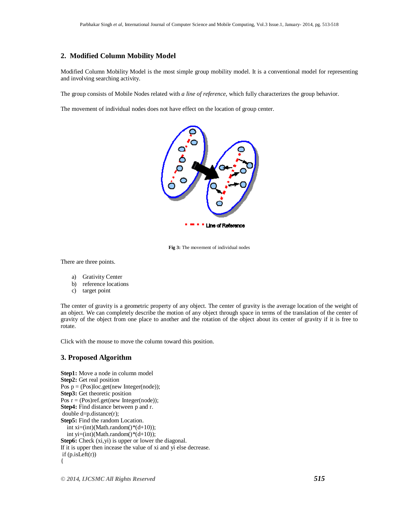#### **2. Modified Column Mobility Model**

Modified Column Mobility Model is the most simple group mobility model. It is a conventional model for representing and involving searching activity.

The group consists of Mobile Nodes related with *a line of reference,* which fully characterizes the group behavior.

The movement of individual nodes does not have effect on the location of group center.





There are three points.

- a) Grativity Center
- b) reference locations
- c) target point

The center of gravity is a geometric property of any object. The center of gravity is the average location of the weight of an object. We can completely describe the motion of any object through space in terms of the translation of the center of gravity of the object from one place to another and the rotation of the object about its center of gravity if it is free to rotate.

Click with the mouse to move the column toward this position.

# **3. Proposed Algorithm**

**Step1:** Move a node in column model **Step2:** Get real position Pos  $p = (Pos)loc.get(new Integer(node))$ ; **Step3:** Get theoretic position Pos  $r = (Pos)ref.get(new Integer(node));$ **Step4:** Find distance between p and r. double d=p.distance(r); **Step5:** Find the random Location. int  $xi=(int)(Math.random(*)*(d+10));$ int yi=(int)(Math.random()\*(d+10)); **Step6:** Check (xi,yi) is upper or lower the diagonal. If it is upper then incease the value of xi and yi else decrease.  $if (p.isLeft(r))$ {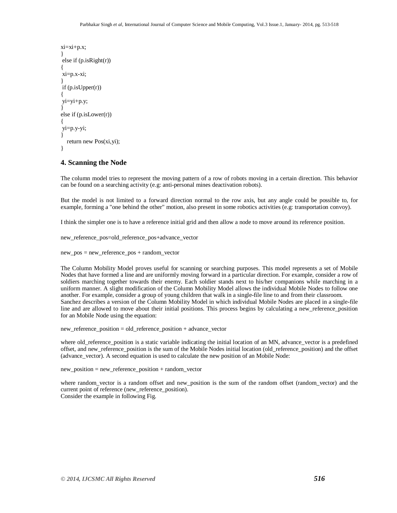```
xi=xi+p.x;
}
else if (p.isRight(r))
{
xi=p.x-xi;
}
if (p.isUpper(r))
{
yi=yi+p.y;
}
else if (p.isLower(r))
{
yi=p.y-yi;
}
   return new Pos(xi,yi);
}
```
### **4. Scanning the Node**

The column model tries to represent the moving pattern of a row of robots moving in a certain direction. This behavior can be found on a searching activity (e.g: anti-personal mines deactivation robots).

But the model is not limited to a forward direction normal to the row axis, but any angle could be possible to, for example, forming a "one behind the other" motion, also present in some robotics activities (e.g: transportation convoy).

I think the simpler one is to have a reference initial grid and then allow a node to move around its reference position.

new reference pos=old reference pos+advance vector

new\_pos = new\_reference\_pos + random\_vector

The Column Mobility Model proves useful for scanning or searching purposes. This model represents a set of Mobile Nodes that have formed a line and are uniformly moving forward in a particular direction. For example, consider a row of soldiers marching together towards their enemy. Each soldier stands next to his/her companions while marching in a uniform manner. A slight modification of the Column Mobility Model allows the individual Mobile Nodes to follow one another. For example, consider a group of young children that walk in a single-file line to and from their classroom. Sanchez describes a version of the Column Mobility Model in which individual Mobile Nodes are placed in a single-file line and are allowed to move about their initial positions. This process begins by calculating a new\_reference\_position for an Mobile Node using the equation:

new\_reference\_position = old\_reference\_position + advance\_vector

where old\_reference\_position is a static variable indicating the initial location of an MN, advance\_vector is a predefined offset, and new\_reference\_position is the sum of the Mobile Nodes initial location (old\_reference\_position) and the offset (advance\_vector). A second equation is used to calculate the new position of an Mobile Node:

new position = new reference position + random vector

where random vector is a random offset and new position is the sum of the random offset (random vector) and the current point of reference (new\_reference\_position). Consider the example in following Fig.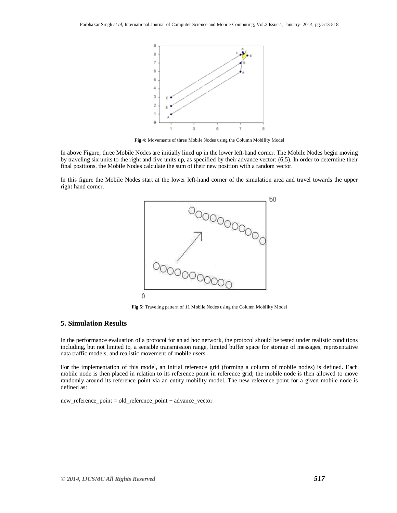

**Fig 4:** Movements of three Mobile Nodes using the Column Mobility Model

In above Figure, three Mobile Nodes are initially lined up in the lower left-hand corner. The Mobile Nodes begin moving by traveling six units to the right and five units up, as specified by their advance vector: (6,5). In order to determine their final positions, the Mobile Nodes calculate the sum of their new position with a random vector.

In this figure the Mobile Nodes start at the lower left-hand corner of the simulation area and travel towards the upper right hand corner.



**Fig 5:** Traveling pattern of 11 Mobile Nodes using the Column Mobility Model

#### **5. Simulation Results**

In the performance evaluation of a protocol for an ad hoc network, the protocol should be tested under realistic conditions including, but not limited to, a sensible transmission range, limited buffer space for storage of messages, representative data traffic models, and realistic movement of mobile users.

For the implementation of this model, an initial reference grid (forming a column of mobile nodes) is defined. Each mobile node is then placed in relation to its reference point in reference grid; the mobile node is then allowed to move randomly around its reference point via an entity mobility model. The new reference point for a given mobile node is defined as:

new\_reference\_point = old\_reference\_point + advance\_vector